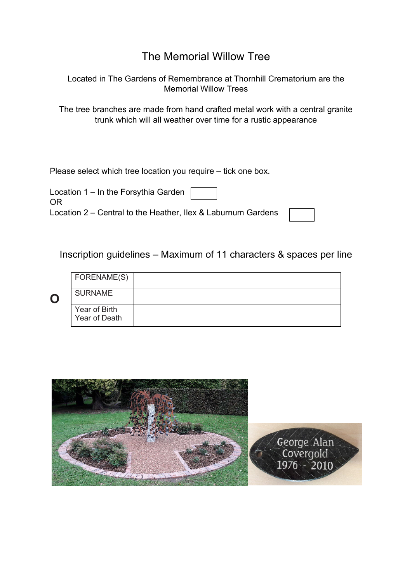## The Memorial Willow Tree

Located in The Gardens of Remembrance at Thornhill Crematorium are the Memorial Willow Trees

The tree branches are made from hand crafted metal work with a central granite trunk which will all weather over time for a rustic appearance

Please select which tree location you require – tick one box.

Location 1 – In the Forsythia Garden OR Location 2 – Central to the Heather, Ilex & Laburnum Gardens

Inscription guidelines – Maximum of 11 characters & spaces per line

|   | FORENAME(S)                    |  |
|---|--------------------------------|--|
| C | <b>SURNAME</b>                 |  |
|   | Year of Birth<br>Year of Death |  |